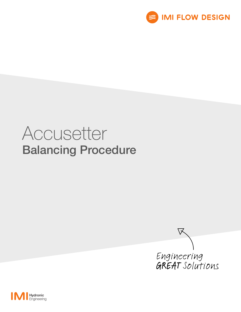

# Accusetter Balancing Procedure



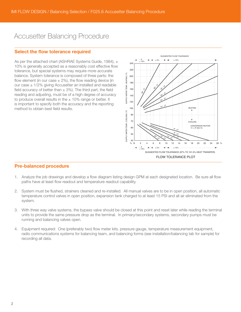# Accusetter Balancing Procedure

## Select the flow tolerance required

As per the attached chart (ASHRAE Systems Guide, 1984),  $\pm$ 10% is generally accepted as a reasonably cost effective flow tolerance, but special systems may require more accurate balance. System tolerance is composed of three parts: the flow element (in our case  $\pm$  2%), the flow reading device (in our case  $\pm$  1/2% giving Accusetter an installed and readable field accuracy of better than  $\pm$  3%). The third part, the field reading and adjusting, must be of a high degree of accuracy to produce overall results in the  $\pm$  10% range or better. It is important to specify both the accuracy and the reporting method to obtain best field results.



## Pre-balanced procedure

- 1. Analyze the job drawings and develop a flow diagram listing design GPM at each designated location. Be sure all flow paths have at least flow readout and temperature readout capability.
- 2. System must be flushed, strainers cleaned and re-installed. All manual valves are to be in open position, all automatic temperature control valves in open position, expansion tank charged to at least 15 PSI and all air eliminated from the system.
- 3. With three way valve systems, the bypass valve should be closed at this point and reset later while reading the terminal units to provide the same pressure drop as the terminal. In primary/secondary systems, secondary pumps must be running and balancing valves open.
- 4. Equipment required: One (preferably two) flow meter kits. pressure gauge, temperature measurement equipment, radio communications systems for balancing team, and balancing forms (see installation/balancing tab for sample) for recording all data.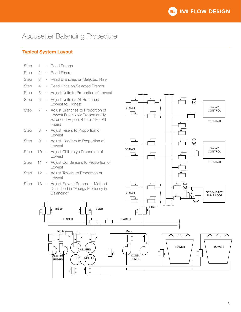# Accusetter Balancing Procedure

## Typical System Layout

| Step        | 1        |                          | <b>Read Pumps</b>                                                                                                        |   |  |  |
|-------------|----------|--------------------------|--------------------------------------------------------------------------------------------------------------------------|---|--|--|
| Step        | 2        |                          | <b>Read Risers</b>                                                                                                       |   |  |  |
| Step        | 3        | $\overline{\phantom{0}}$ | Read Branches on Selected Riser                                                                                          |   |  |  |
| Step        | 4        |                          | Read Units on Selected Branch                                                                                            |   |  |  |
| <b>Step</b> | 5        |                          | Adjust Units to Proportion of Lowest                                                                                     |   |  |  |
| <b>Step</b> | 6        |                          | Adjust Units on All Branches<br>Lowest to Highest                                                                        |   |  |  |
| Step        | 7        | $\sim$                   | Adjust Branches to Proportion of<br>Lowest Riser Now Proportionally<br>Balanced Repeat 4 thru 7 For All<br><b>Risers</b> | B |  |  |
| Step        | 8        | $\overline{\phantom{a}}$ | Adjust Risers to Proportion of<br>Lowest                                                                                 |   |  |  |
| Step        | 9        |                          | Adjust Headers to Proportion of<br>Lowest                                                                                | B |  |  |
| Step        | 10       | $\overline{\phantom{a}}$ | Adjust Chillers yo Proportion of<br>Lowest                                                                               |   |  |  |
| <b>Step</b> | 11       | $\sim$                   | Adjust Condensers to Proportion of<br>Lowest                                                                             |   |  |  |
| <b>Step</b> | $12 -$   |                          | Adjust Towers to Proportion of<br>Lowest                                                                                 |   |  |  |
| <b>Step</b> | $13 - 1$ |                          | Adjust Flow at Pumps - Method<br>Described in "Energy Efficiency in<br>Balancing"                                        | B |  |  |
|             |          | $\mathbf{1}$             | $\mathbf{1}$                                                                                                             |   |  |  |

MAIN

CHILLER PUMPS

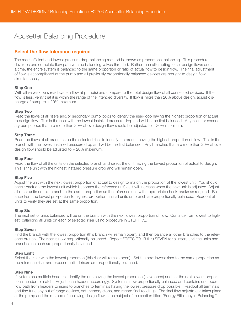# Accsetter Balancing Procedure

## Select the flow tolerance required

The most efficient and lowest pressure drop balancing method is known as proportional balancing. This procedure develops one complete flow path with no balancing valves throttled. Rather than attempting to set design flows one at a time, the entire system is balanced to the same proportion or ratio of actual flow to design flow. The final adjustment of flow is accomplished at the pump and all previously proportionally balanced devices are brought to design flow simultaneously.

#### Step One

With all valves open, read system flow at pump(s) and compare to the total design flow of all connected devices. If the flow is less, verify that it is within the range of the intended diversity. If flow is more than 20% above design, adjust discharge of pump to  $+20\%$  maximum.

#### Step Two

Read the flows of all risers and/or secondary pump loops to identify the riser/loop having the highest proportion of actual to design flow. This is the riser with the lowest installed pressure drop and will be the first balanced. Any risers or secondary pump loops that are more than 20% above design flow should be adjusted to + 20% maximum.

#### Step Three

Read the flows of all branches on the selected riser to identify the branch having the highest proportion of flow. This is the branch with the lowest installed pressure drop and will be the first balanced. Any branches that are more than 20% above design flow should be adjusted to  $+20\%$  maximum.

#### Step Four

Read the flow of all the units on the selected branch and select the unit having the lowest proportion of actual to design. This is the unit with the highest installed pressure drop and will remain open.

#### Step Five

Adjust the unit with the next lowest proportion of actual to design to match the proportion of the lowest unit. You should check back on the lowest unit (which becomes the reference unit) as it will increase when the next unit is adjusted. Adjust all other units on this branch to the same proportion as the reference unit with appropriate check-backs as required. Balance from the lowest pro-portion to highest proportion until all units on branch are proportionally balanced. Readout all units to verify they are set at the same proportion.

#### Step Six

The next set of units balanced will be on the branch with the next lowest proportion of flow. Continue from lowest to highest, balancing all units on each of selected riser using procedure in STEP FIVE.

#### Step Seven

Find the branch with the lowest proportion (this branch will remain open), and then balance all other branches to the reference branch. The riser is now proportionally balanced. Repeat STEPS FOUR thru SEVEN for all risers until the units and branches on each are proportionally balanced.

#### Step Eight

Select the riser with the lowest proportion (this riser will remain open). Set the next lowest riser to the same proportion as the reference riser and proceed until all risers are proportionally balanced.

#### Step Nine

If system has multiple headers, identify the one having the lowest proportion (leave open) and set the next lowest proportional header to match. Adjust each header accordingly. System is now proportionally balanced and contains one open flow path from headers to risers to branches to terminals having the lowest pressure drop possible. Readout all terminals and fine tune any out of range devices, set memory stops, and record final readings. The final flow adjustment takes place at the pump and the method of achieving design flow is the subject of the section titled "Energy Efficiency in Balancing."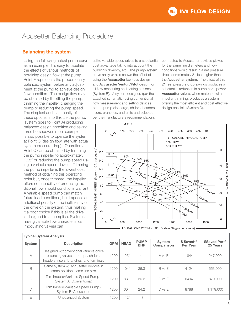# Accsetter Balancing Procedure

## Balancing the system

Using the following actual pump curve as an example, it is easy to tabulate the effects of various methods of obtaining design flow at the pump. Point E represents the proportionally balanced system before any adjustment at the pump to achieve design flow condition. The design flow may be obtained by throttling the pump, trimming the impeller, changing the pump or reducing the pump speed. The simplest and least costly of these options is to throttle the pump, (system goes to Point A) producing balanced design condition and saving three horsepower in our example. It is also possible to operate the system at Point C (design flow rate with actual system pressure drop). Operation at Point C can be obtained by trimming the pump impeller to approximately 10.5" or reducing the pump speed using a variable speed device. Trimming the pump impeller is the lowest cost method of obtaining this operating point but, once trimmed, the impeller offers no capability of producing additional flow should conditions warrant. A variable speed pump can match future load conditions, but imposes an additional penalty of the inefficiency of the drive on the system, thus making it a poor choice if this is all the drive is designed to accomplish. Systems having variable flow characteristics (modulating valves) can

utilize variable speed drives to a substantial cost advantage taking into account the building's diversity, etc. The pump/system curve analysis also shows the effect of using the Accusetter low-loss design and Accusetter Venturi/Pitot design for all flow measuring and setting stations (System B). A system designed (per the attached schematic) using conventional flow measurement and setting devices on the pump discharge, chillers, headers, risers, branches, and units and selected per the manufacturers recommendations

contrasted to Accusetter devices picked for the same line diameters and flow conditions would result in a net pressure drop approximately 21 feet higher than the Accusetter system. The effect of this 21 feet pressure drop savings produces a substantial reduction in pump horsepower. Accusetter valves, when matched with impeller trimming, produces a system offering the most efficient and cost effective design possible (System D).



|                | <b>Typical System Analysis</b>                                                                                              |      |             |                           |                      |                        |                           |
|----------------|-----------------------------------------------------------------------------------------------------------------------------|------|-------------|---------------------------|----------------------|------------------------|---------------------------|
| <b>System</b>  | <b>Description</b>                                                                                                          |      | <b>HEAD</b> | <b>PUMP</b><br><b>BHP</b> | System<br>Comparison | \$ Saved**<br>Per Year | \$Saved Per**<br>25 Years |
| $\overline{A}$ | Designed w/conventional variable orfice<br>balancing valves at pumps, chillers,<br>headers, risers, branches, and terminals | 1200 | 125'        | 44                        | A vs E               | 1844                   | 247,000                   |
| B              | Same system w/ Accusetter devices in<br>same position, same line size                                                       | 1200 | 104'        | 36.3                      | B vs E               | 4124                   | 553,000                   |
| C              | Trim Impeller/Variable Speed Pump -<br>System A (Conventional)                                                              | 1200 | 83'         | 30.2                      | $C$ vs $E$           | 6494                   | 870,000                   |
|                | Trim Impeller/Variable Speed Pump -<br>System B (Accusetter)                                                                |      | 60'         | 24.2                      | D vs E               | 8788                   | 1,179,000                 |
| F              | Unbalanced System                                                                                                           | 1200 | 112'        | 47                        |                      |                        |                           |